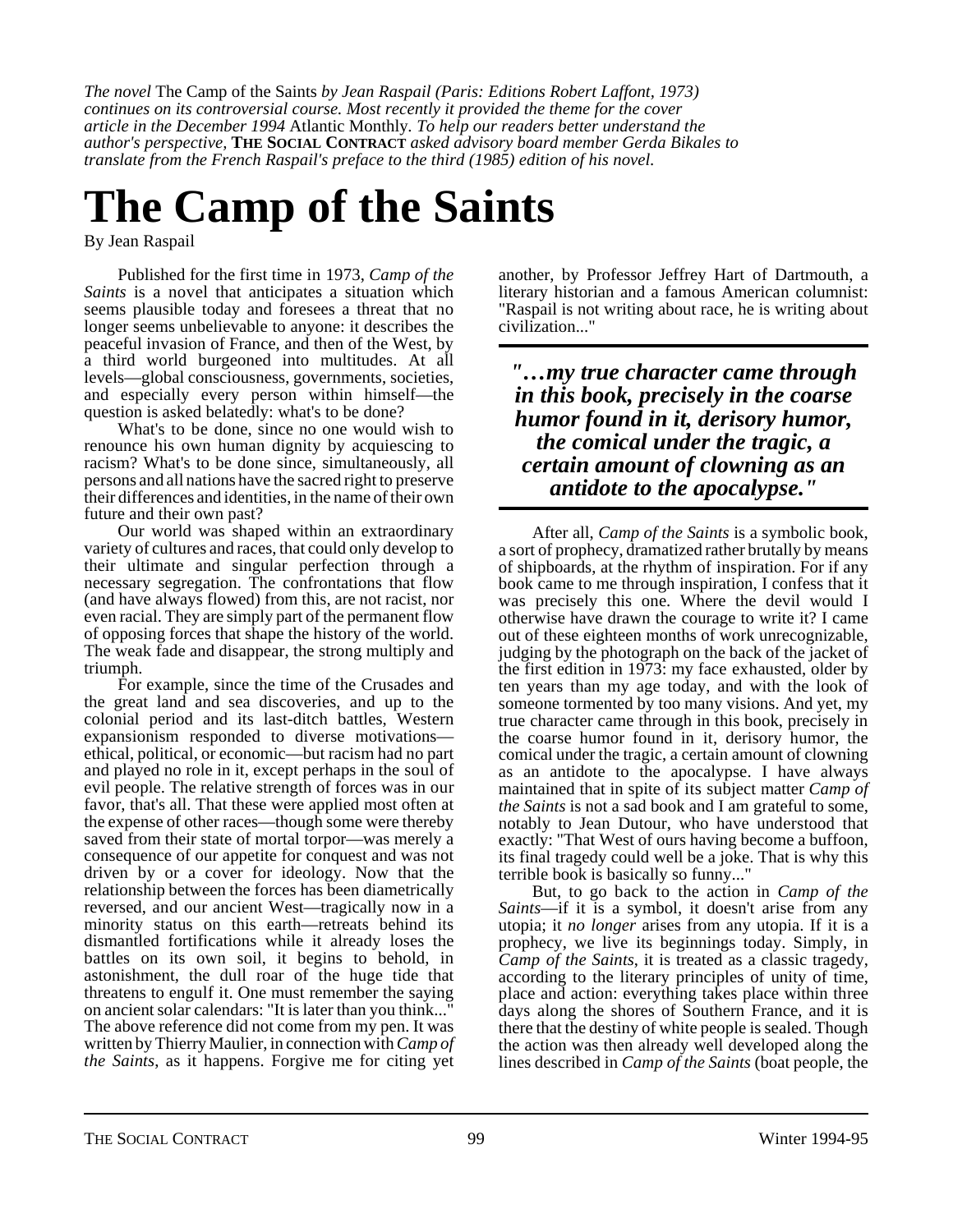*The novel* The Camp of the Saints *by Jean Raspail (Paris: Editions Robert Laffont, 1973) continues on its controversial course. Most recently it provided the theme for the cover article in the December 1994* Atlantic Monthly*. To help our readers better understand the author's perspective,* **THE SOCIAL CONTRACT** *asked advisory board member Gerda Bikales to translate from the French Raspail's preface to the third (1985) edition of his novel.*

## **The Camp of the Saints**

By Jean Raspail

Published for the first time in 1973, *Camp of the Saints* is a novel that anticipates a situation which seems plausible today and foresees a threat that no longer seems unbelievable to anyone: it describes the peaceful invasion of France, and then of the West, by a third world burgeoned into multitudes. At all levels—global consciousness, governments, societies, and especially every person within himself—the question is asked belatedly: what's to be done?

What's to be done, since no one would wish to renounce his own human dignity by acquiescing to racism? What's to be done since, simultaneously, all persons and all nations have the sacred right to preserve their differences and identities, in the name of their own future and their own past?

Our world was shaped within an extraordinary variety of cultures and races, that could only develop to their ultimate and singular perfection through a necessary segregation. The confrontations that flow (and have always flowed) from this, are not racist, nor even racial. They are simply part of the permanent flow of opposing forces that shape the history of the world. The weak fade and disappear, the strong multiply and triumph.

For example, since the time of the Crusades and the great land and sea discoveries, and up to the colonial period and its last-ditch battles, Western expansionism responded to diverse motivations ethical, political, or economic—but racism had no part and played no role in it, except perhaps in the soul of evil people. The relative strength of forces was in our favor, that's all. That these were applied most often at the expense of other races—though some were thereby saved from their state of mortal torpor—was merely a consequence of our appetite for conquest and was not driven by or a cover for ideology. Now that the relationship between the forces has been diametrically reversed, and our ancient West—tragically now in a minority status on this earth—retreats behind its dismantled fortifications while it already loses the battles on its own soil, it begins to behold, in astonishment, the dull roar of the huge tide that threatens to engulf it. One must remember the saying on ancient solar calendars: "It is later than you think..." The above reference did not come from my pen. It was written by Thierry Maulier, in connection with *Camp of the Saints*, as it happens. Forgive me for citing yet

another, by Professor Jeffrey Hart of Dartmouth, a literary historian and a famous American columnist: "Raspail is not writing about race, he is writing about civilization..."

*"…my true character came through in this book, precisely in the coarse humor found in it, derisory humor, the comical under the tragic, a certain amount of clowning as an antidote to the apocalypse."*

After all, *Camp of the Saints* is a symbolic book, a sort of prophecy, dramatized rather brutally by means of shipboards, at the rhythm of inspiration. For if any book came to me through inspiration, I confess that it was precisely this one. Where the devil would I otherwise have drawn the courage to write it? I came out of these eighteen months of work unrecognizable, judging by the photograph on the back of the jacket of the first edition in 1973: my face exhausted, older by ten years than my age today, and with the look of someone tormented by too many visions. And yet, my true character came through in this book, precisely in the coarse humor found in it, derisory humor, the comical under the tragic, a certain amount of clowning as an antidote to the apocalypse. I have always maintained that in spite of its subject matter *Camp of the Saints* is not a sad book and I am grateful to some, notably to Jean Dutour, who have understood that exactly: "That West of ours having become a buffoon, its final tragedy could well be a joke. That is why this terrible book is basically so funny...'

But, to go back to the action in *Camp of the Saints*—if it is a symbol, it doesn't arise from any utopia; it *no longer* arises from any utopia. If it is a prophecy, we live its beginnings today. Simply, in *Camp of the Saints*, it is treated as a classic tragedy, according to the literary principles of unity of time, place and action: everything takes place within three days along the shores of Southern France, and it is there that the destiny of white people is sealed. Though the action was then already well developed along the lines described in *Camp of the Saints* (boat people, the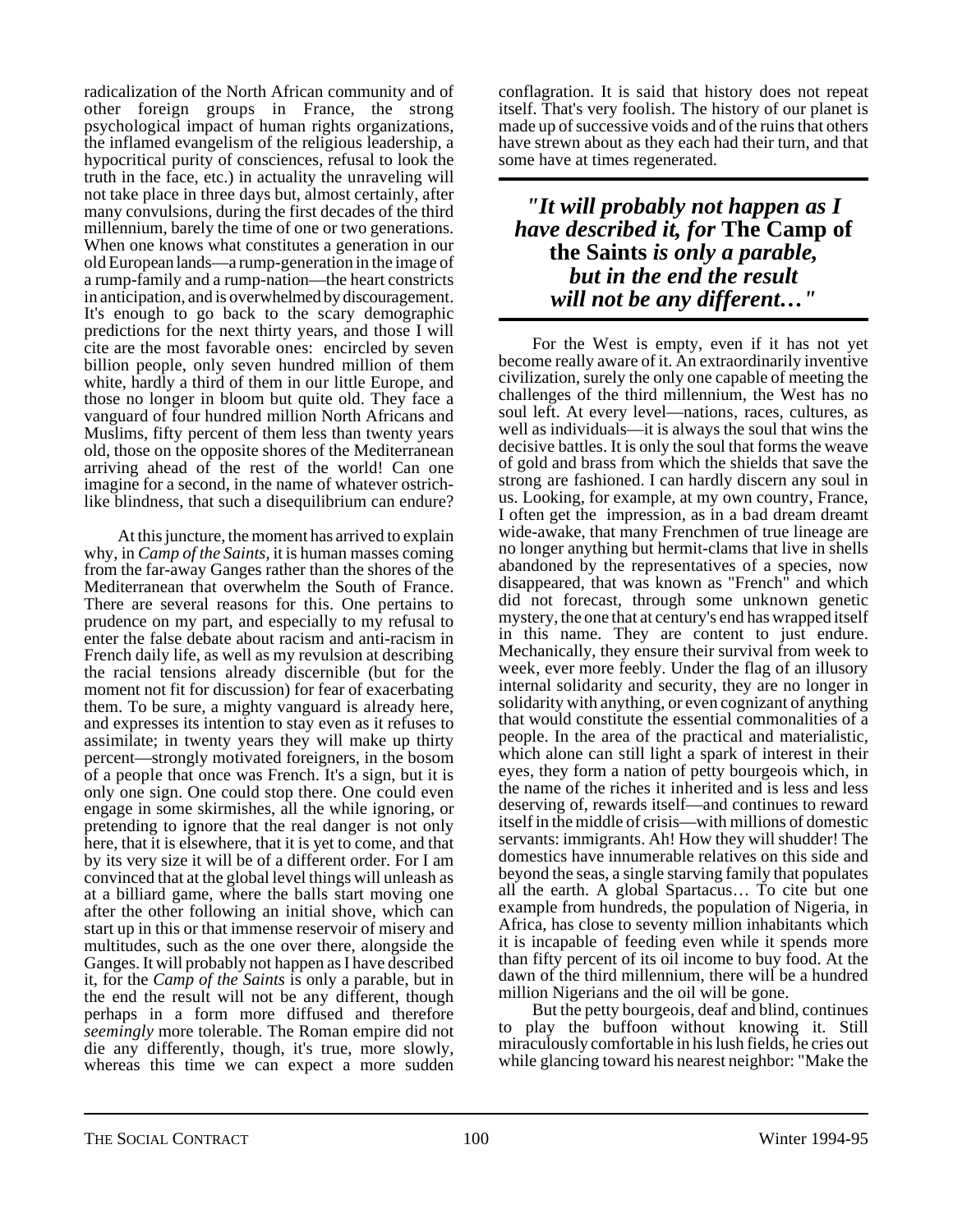radicalization of the North African community and of other foreign groups in France, the strong psychological impact of human rights organizations, the inflamed evangelism of the religious leadership, a hypocritical purity of consciences, refusal to look the truth in the face, etc.) in actuality the unraveling will not take place in three days but, almost certainly, after many convulsions, during the first decades of the third millennium, barely the time of one or two generations. When one knows what constitutes a generation in our old European lands—a rump-generation in the image of a rump-family and a rump-nation—the heart constricts in anticipation, and is overwhelmed by discouragement. It's enough to go back to the scary demographic predictions for the next thirty years, and those I will cite are the most favorable ones: encircled by seven billion people, only seven hundred million of them white, hardly a third of them in our little Europe, and those no longer in bloom but quite old. They face a vanguard of four hundred million North Africans and Muslims, fifty percent of them less than twenty years old, those on the opposite shores of the Mediterranean arriving ahead of the rest of the world! Can one imagine for a second, in the name of whatever ostrichlike blindness, that such a disequilibrium can endure?

At this juncture, the moment has arrived to explain why, in *Camp of the Saints*, it is human masses coming from the far-away Ganges rather than the shores of the Mediterranean that overwhelm the South of France. There are several reasons for this. One pertains to prudence on my part, and especially to my refusal to enter the false debate about racism and anti-racism in French daily life, as well as my revulsion at describing the racial tensions already discernible (but for the moment not fit for discussion) for fear of exacerbating them. To be sure, a mighty vanguard is already here, and expresses its intention to stay even as it refuses to assimilate; in twenty years they will make up thirty percent—strongly motivated foreigners, in the bosom of a people that once was French. It's a sign, but it is only one sign. One could stop there. One could even engage in some skirmishes, all the while ignoring, or pretending to ignore that the real danger is not only here, that it is elsewhere, that it is yet to come, and that by its very size it will be of a different order. For I am convinced that at the global level things will unleash as at a billiard game, where the balls start moving one after the other following an initial shove, which can start up in this or that immense reservoir of misery and multitudes, such as the one over there, alongside the Ganges. It will probably not happen as I have described it, for the *Camp of the Saints* is only a parable, but in the end the result will not be any different, though perhaps in a form more diffused and therefore *seemingly* more tolerable. The Roman empire did not die any differently, though, it's true, more slowly, whereas this time we can expect a more sudden

conflagration. It is said that history does not repeat itself. That's very foolish. The history of our planet is made up of successive voids and of the ruins that others have strewn about as they each had their turn, and that some have at times regenerated.

## *"It will probably not happen as I have described it, for* **The Camp of the Saints** *is only a parable, but in the end the result will not be any different…"*

For the West is empty, even if it has not yet become really aware of it. An extraordinarily inventive civilization, surely the only one capable of meeting the challenges of the third millennium, the West has no soul left. At every level—nations, races, cultures, as well as individuals—it is always the soul that wins the decisive battles. It is only the soul that forms the weave of gold and brass from which the shields that save the strong are fashioned. I can hardly discern any soul in us. Looking, for example, at my own country, France, I often get the impression, as in a bad dream dreamt wide-awake, that many Frenchmen of true lineage are no longer anything but hermit-clams that live in shells abandoned by the representatives of a species, now disappeared, that was known as "French" and which did not forecast, through some unknown genetic mystery, the one that at century's end has wrapped itself in this name. They are content to just endure. Mechanically, they ensure their survival from week to week, ever more feebly. Under the flag of an illusory internal solidarity and security, they are no longer in solidarity with anything, or even cognizant of anything that would constitute the essential commonalities of a people. In the area of the practical and materialistic, which alone can still light a spark of interest in their eyes, they form a nation of petty bourgeois which, in the name of the riches it inherited and is less and less deserving of, rewards itself—and continues to reward itself in the middle of crisis—with millions of domestic servants: immigrants. Ah! How they will shudder! The domestics have innumerable relatives on this side and beyond the seas, a single starving family that populates all the earth. A global Spartacus… To cite but one example from hundreds, the population of Nigeria, in Africa, has close to seventy million inhabitants which it is incapable of feeding even while it spends more than fifty percent of its oil income to buy food. At the dawn of the third millennium, there will be a hundred million Nigerians and the oil will be gone.

But the petty bourgeois, deaf and blind, continues to play the buffoon without knowing it. Still miraculously comfortable in his lush fields, he cries out while glancing toward his nearest neighbor: "Make the